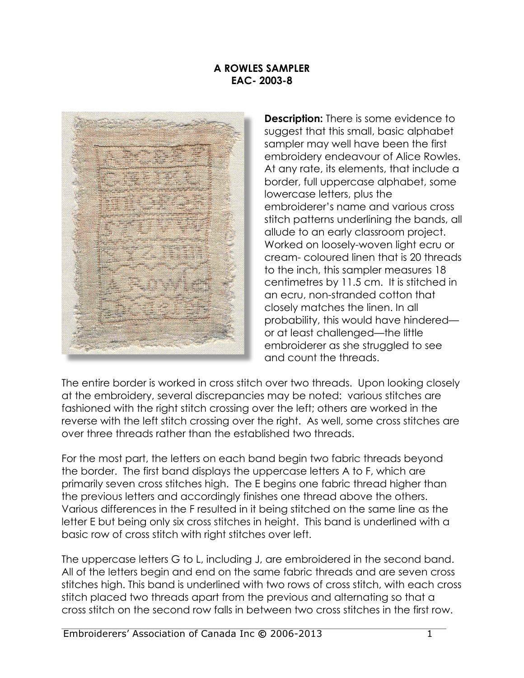## **A ROWLES SAMPLER EAC- 2003-8**



**Description:** There is some evidence to suggest that this small, basic alphabet sampler may well have been the first embroidery endeavour of Alice Rowles. At any rate, its elements, that include a border, full uppercase alphabet, some lowercase letters, plus the embroiderer's name and various cross stitch patterns underlining the bands, all allude to an early classroom project. Worked on loosely-woven light ecru or cream- coloured linen that is 20 threads to the inch, this sampler measures 18 centimetres by 11.5 cm. It is stitched in an ecru, non-stranded cotton that closely matches the linen. In all probability, this would have hindered or at least challenged—the little embroiderer as she struggled to see and count the threads.

The entire border is worked in cross stitch over two threads. Upon looking closely at the embroidery, several discrepancies may be noted: various stitches are fashioned with the right stitch crossing over the left; others are worked in the reverse with the left stitch crossing over the right. As well, some cross stitches are over three threads rather than the established two threads.

For the most part, the letters on each band begin two fabric threads beyond the border. The first band displays the uppercase letters A to F, which are primarily seven cross stitches high. The E begins one fabric thread higher than the previous letters and accordingly finishes one thread above the others. Various differences in the F resulted in it being stitched on the same line as the letter E but being only six cross stitches in height. This band is underlined with a basic row of cross stitch with right stitches over left.

The uppercase letters G to L, including J, are embroidered in the second band. All of the letters begin and end on the same fabric threads and are seven cross stitches high. This band is underlined with two rows of cross stitch, with each cross stitch placed two threads apart from the previous and alternating so that a cross stitch on the second row falls in between two cross stitches in the first row.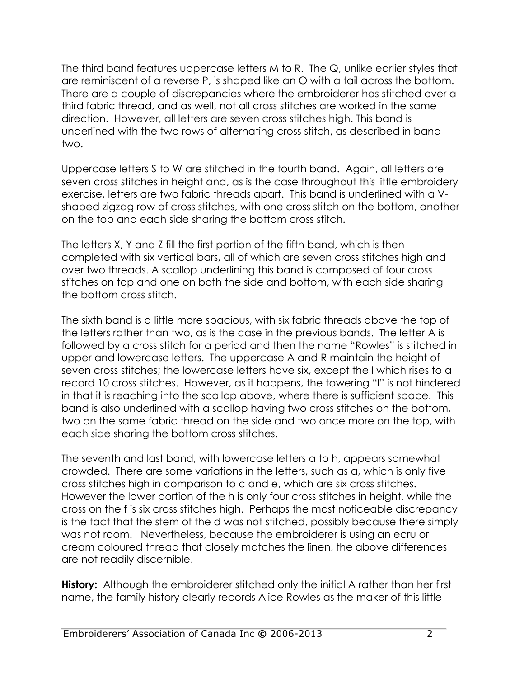The third band features uppercase letters M to R. The Q, unlike earlier styles that are reminiscent of a reverse P, is shaped like an O with a tail across the bottom. There are a couple of discrepancies where the embroiderer has stitched over a third fabric thread, and as well, not all cross stitches are worked in the same direction. However, all letters are seven cross stitches high. This band is underlined with the two rows of alternating cross stitch, as described in band two.

Uppercase letters S to W are stitched in the fourth band. Again, all letters are seven cross stitches in height and, as is the case throughout this little embroidery exercise, letters are two fabric threads apart. This band is underlined with a Vshaped zigzag row of cross stitches, with one cross stitch on the bottom, another on the top and each side sharing the bottom cross stitch.

The letters X, Y and Z fill the first portion of the fifth band, which is then completed with six vertical bars, all of which are seven cross stitches high and over two threads. A scallop underlining this band is composed of four cross stitches on top and one on both the side and bottom, with each side sharing the bottom cross stitch.

The sixth band is a little more spacious, with six fabric threads above the top of the letters rather than two, as is the case in the previous bands. The letter A is followed by a cross stitch for a period and then the name "Rowles" is stitched in upper and lowercase letters. The uppercase A and R maintain the height of seven cross stitches; the lowercase letters have six, except the l which rises to a record 10 cross stitches. However, as it happens, the towering "l" is not hindered in that it is reaching into the scallop above, where there is sufficient space. This band is also underlined with a scallop having two cross stitches on the bottom, two on the same fabric thread on the side and two once more on the top, with each side sharing the bottom cross stitches.

The seventh and last band, with lowercase letters a to h, appears somewhat crowded. There are some variations in the letters, such as a, which is only five cross stitches high in comparison to c and e, which are six cross stitches. However the lower portion of the h is only four cross stitches in height, while the cross on the f is six cross stitches high. Perhaps the most noticeable discrepancy is the fact that the stem of the d was not stitched, possibly because there simply was not room. Nevertheless, because the embroiderer is using an ecru or cream coloured thread that closely matches the linen, the above differences are not readily discernible.

**History:** Although the embroiderer stitched only the initial A rather than her first name, the family history clearly records Alice Rowles as the maker of this little